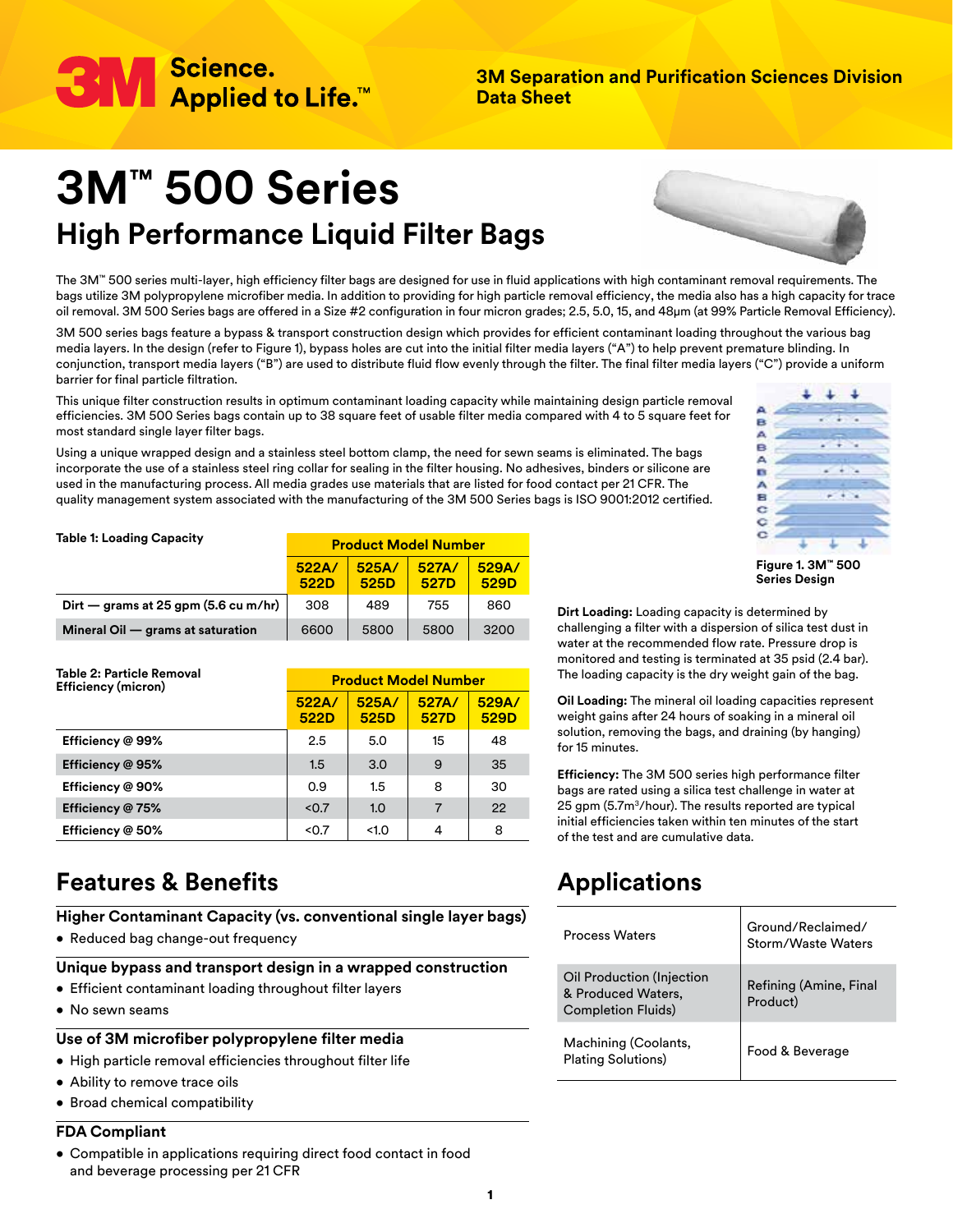

**3M Separation and Purification Sciences Division Data Sheet**

# **3M™ 500 Series High Performance Liquid Filter Bags**

**522A/ 522D**

**522A/ 522D**

**Dirt — grams at 25 gpm (5.6 cu m/hr)** 308 489 755 860 **Mineral Oil — grams at saturation**  $\begin{array}{|c|c|c|c|c|} \hline \text{6600} & \text{5800} & \text{5800} & \text{3200} \ \hline \end{array}$ 

**Efficiency @ 99%** 2.5 3.0 15 48 **Efficiency @ 95%** 1.5 3.0 9 35 **Efficiency @ 90%** 0.9 1.5 8 30 **Efficiency @ 75%**  $\vert$  <0.7  $\vert$  1.0  $\vert$  7  $\vert$  22 **Efficiency @ 50%** <0.7 <1.0 4 8



The 3M™ 500 series multi-layer, high efficiency filter bags are designed for use in fluid applications with high contaminant removal requirements. The bags utilize 3M polypropylene microfiber media. In addition to providing for high particle removal efficiency, the media also has a high capacity for trace oil removal. 3M 500 Series bags are offered in a Size #2 configuration in four micron grades; 2.5, 5.0, 15, and 48μm (at 99% Particle Removal Efficiency).

3M 500 series bags feature a bypass & transport construction design which provides for efficient contaminant loading throughout the various bag media layers. In the design (refer to Figure 1), bypass holes are cut into the initial filter media layers ("A") to help prevent premature blinding. In conjunction, transport media layers ("B") are used to distribute fluid flow evenly through the filter. The final filter media layers ("C") provide a uniform barrier for final particle filtration.

This unique filter construction results in optimum contaminant loading capacity while maintaining design particle removal efficiencies. 3M 500 Series bags contain up to 38 square feet of usable filter media compared with 4 to 5 square feet for most standard single layer filter bags.

Using a unique wrapped design and a stainless steel bottom clamp, the need for sewn seams is eliminated. The bags incorporate the use of a stainless steel ring collar for sealing in the filter housing. No adhesives, binders or silicone are used in the manufacturing process. All media grades use materials that are listed for food contact per 21 CFR. The quality management system associated with the manufacturing of the 3M 500 Series bags is ISO 9001:2012 certified.

> **525A/ 525D**

**525A/ 525D**

**Product Model Number**

**Product Model Number**

**527A/ 527D**

**527A/ 527D**

**529A/ 529D**

**529A/ 529D**

| ĕ |  |  |
|---|--|--|
|   |  |  |
|   |  |  |
|   |  |  |

**Figure 1. 3M™ 500 Series Design**

**Dirt Loading:** Loading capacity is determined by challenging a filter with a dispersion of silica test dust in water at the recommended flow rate. Pressure drop is monitored and testing is terminated at 35 psid (2.4 bar). The loading capacity is the dry weight gain of the bag.

**Oil Loading:** The mineral oil loading capacities represent weight gains after 24 hours of soaking in a mineral oil solution, removing the bags, and draining (by hanging) for 15 minutes.

**Efficiency:** The 3M 500 series high performance filter bags are rated using a silica test challenge in water at 25 gpm (5.7m<sup>3</sup>/hour). The results reported are typical initial efficiencies taken within ten minutes of the start of the test and are cumulative data.

# **Applications**

| <b>Process Waters</b>                                                        | Ground/Reclaimed/<br>Storm/Waste Waters |  |
|------------------------------------------------------------------------------|-----------------------------------------|--|
| Oil Production (Injection<br>& Produced Waters,<br><b>Completion Fluids)</b> | Refining (Amine, Final<br>Product)      |  |
| Machining (Coolants,<br><b>Plating Solutions)</b>                            | Food & Beverage                         |  |

# **Features & Benefits**

**Table 1: Loading Capacity**

**Table 2: Particle Removal Efficiency (micron)**

**Higher Contaminant Capacity (vs. conventional single layer bags)**

• Reduced bag change-out frequency

## **Unique bypass and transport design in a wrapped construction**

- Efficient contaminant loading throughout filter layers
- No sewn seams

## **Use of 3M microfiber polypropylene filter media**

- High particle removal efficiencies throughout filter life
- Ability to remove trace oils
- Broad chemical compatibility

## **FDA Compliant**

• Compatible in applications requiring direct food contact in food and beverage processing per 21 CFR